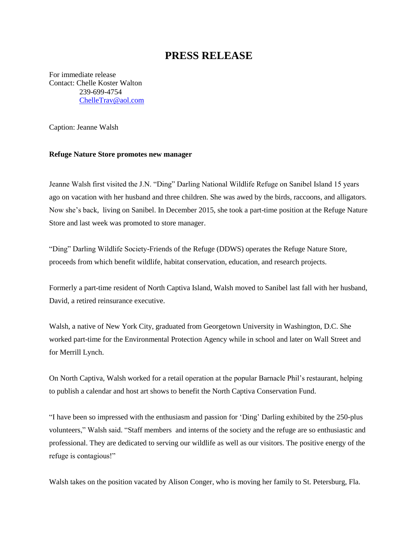## **PRESS RELEASE**

For immediate release Contact: Chelle Koster Walton 239-699-4754 [ChelleTrav@aol.com](mailto:ChelleTrav@aol.com)

Caption: Jeanne Walsh

## **Refuge Nature Store promotes new manager**

Jeanne Walsh first visited the J.N. "Ding" Darling National Wildlife Refuge on Sanibel Island 15 years ago on vacation with her husband and three children. She was awed by the birds, raccoons, and alligators. Now she's back, living on Sanibel. In December 2015, she took a part-time position at the Refuge Nature Store and last week was promoted to store manager.

"Ding" Darling Wildlife Society-Friends of the Refuge (DDWS) operates the Refuge Nature Store, proceeds from which benefit wildlife, habitat conservation, education, and research projects.

Formerly a part-time resident of North Captiva Island, Walsh moved to Sanibel last fall with her husband, David, a retired reinsurance executive.

Walsh, a native of New York City, graduated from Georgetown University in Washington, D.C. She worked part-time for the Environmental Protection Agency while in school and later on Wall Street and for Merrill Lynch.

On North Captiva, Walsh worked for a retail operation at the popular Barnacle Phil's restaurant, helping to publish a calendar and host art shows to benefit the North Captiva Conservation Fund.

"I have been so impressed with the enthusiasm and passion for 'Ding' Darling exhibited by the 250-plus volunteers," Walsh said. "Staff members and interns of the society and the refuge are so enthusiastic and professional. They are dedicated to serving our wildlife as well as our visitors. The positive energy of the refuge is contagious!"

Walsh takes on the position vacated by Alison Conger, who is moving her family to St. Petersburg, Fla.